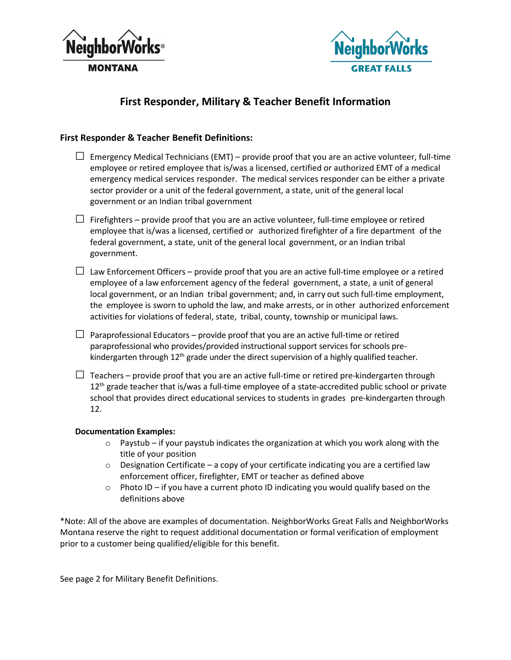



## **First Responder, Military & Teacher Benefit Information**

## **First Responder & Teacher Benefit Definitions:**

- $\Box$  Emergency Medical Technicians (EMT) provide proof that you are an active volunteer, full-time employee or retired employee that is/was a licensed, certified or authorized EMT of a medical emergency medical services responder. The medical services responder can be either a private sector provider or a unit of the federal government, a state, unit of the general local government or an Indian tribal government
- $\Box$  Firefighters provide proof that you are an active volunteer, full-time employee or retired employee that is/was a licensed, certified or authorized firefighter of a fire department of the federal government, a state, unit of the general local government, or an Indian tribal government.
- $\Box$  Law Enforcement Officers provide proof that you are an active full-time employee or a retired employee of a law enforcement agency of the federal government, a state, a unit of general local government, or an Indian tribal government; and, in carry out such full-time employment, the employee is sworn to uphold the law, and make arrests, or in other authorized enforcement activities for violations of federal, state, tribal, county, township or municipal laws.
- $\Box$  Paraprofessional Educators provide proof that you are an active full-time or retired paraprofessional who provides/provided instructional support services for schools prekindergarten through  $12<sup>th</sup>$  grade under the direct supervision of a highly qualified teacher.
- $\Box$  Teachers provide proof that you are an active full-time or retired pre-kindergarten through 12<sup>th</sup> grade teacher that is/was a full-time employee of a state-accredited public school or private school that provides direct educational services to students in grades pre-kindergarten through 12.

## **Documentation Examples:**

- $\circ$  Paystub if your paystub indicates the organization at which you work along with the title of your position
- $\circ$  Designation Certificate a copy of your certificate indicating you are a certified law enforcement officer, firefighter, EMT or teacher as defined above
- $\circ$  Photo ID if you have a current photo ID indicating you would qualify based on the definitions above

\*Note: All of the above are examples of documentation. NeighborWorks Great Falls and NeighborWorks Montana reserve the right to request additional documentation or formal verification of employment prior to a customer being qualified/eligible for this benefit.

See page 2 for Military Benefit Definitions.